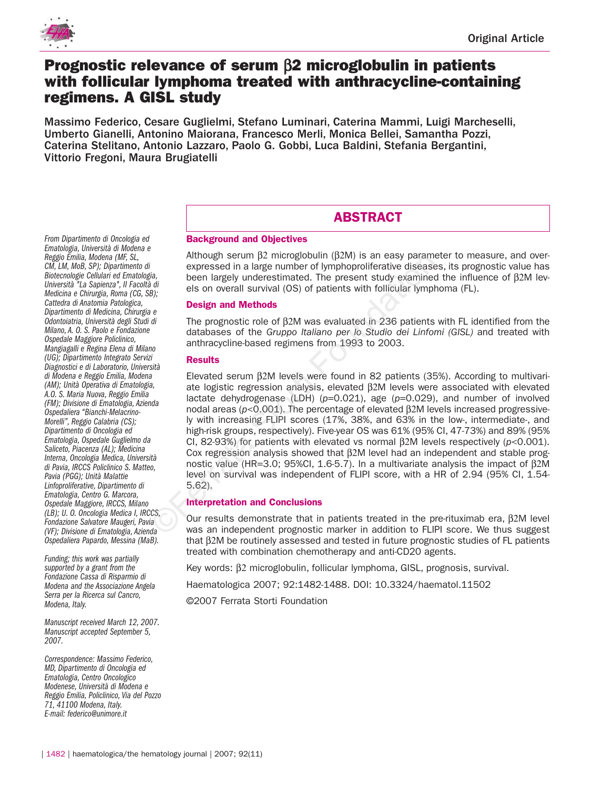

# **Prognostic relevance of serum** β**2 microglobulin in patients with follicular lymphoma treated with anthracycline-containing regimens. A GISL study**

Massimo Federico, Cesare Guglielmi, Stefano Luminari, Caterina Mammi, Luigi Marcheselli, Umberto Gianelli, Antonino Maiorana, Francesco Merli, Monica Bellei, Samantha Pozzi, Caterina Stelitano, Antonio Lazzaro, Paolo G. Gobbi, Luca Baldini, Stefania Bergantini, Vittorio Fregoni, Maura Brugiatelli

# **ABSTRACT**

# **Background and Objectives**

Although serum  $β2$  microglobulin ( $β2M$ ) is an easy parameter to measure, and overexpressed in a large number of lymphoproliferative diseases, its prognostic value has been largely underestimated. The present study examined the influence of β2M levels on overall survival (OS) of patients with follicular lymphoma (FL).

# **Design and Methods**

The prognostic role of β2M was evaluated in 236 patients with FL identified from the databases of the *Gruppo Italiano per lo Studio dei Linfomi (GISL)* and treated with anthracycline-based regimens from 1993 to 2003.

# **Results**

Elevated serum β2M levels were found in 82 patients (35%). According to multivariate logistic regression analysis, elevated β2M levels were associated with elevated lactate dehydrogenase (LDH) ( $p=0.021$ ), age ( $p=0.029$ ), and number of involved nodal areas (*p*<0.001). The percentage of elevated β2M levels increased progressively with increasing FLIPI scores (17%, 38%, and 63% in the low-, intermediate-, and high-risk groups, respectively). Five-year OS was 61% (95% CI, 47-73%) and 89% (95% CI, 82-93%) for patients with elevated vs normal β2M levels respectively (*p*<0.001). Cox regression analysis showed that β2M level had an independent and stable prognostic value (HR=3.0; 95%CI, 1.6-5.7). In a multivariate analysis the impact of β2M level on survival was independent of FLIPI score, with a HR of 2.94 (95% CI, 1.54- 5.62). Altrougn Serum p2 microgoloulin (p2N) is an easy parameter<br> *i* expressed in a large number of lymphoproliferative disease<br>
been largely underestimated. The present study examine<br>
els on overall survival (OS) of patients

# **Interpretation and Conclusions**

Our results demonstrate that in patients treated in the pre-rituximab era,  $β2M$  level was an independent prognostic marker in addition to FLIPI score. We thus suggest that β2M be routinely assessed and tested in future prognostic studies of FL patients treated with combination chemotherapy and anti-CD20 agents.

Key words: β2 microglobulin, follicular lymphoma, GISL, prognosis, survival.

Haematologica 2007; 92:1482-1488. DOI: 10.3324/haematol.11502

©2007 Ferrata Storti Foundation

*From Dipartimento di Oncologia ed Ematologia, Università di Modena e Reggio Emilia, Modena (MF, SL, CM, LM, MoB, SP); Dipartimento di Biotecnologie Cellulari ed Ematologia, Università "La Sapienza", II Facoltà di Medicina e Chirurgia, Roma (CG, SB); Cattedra di Anatomia Patologica, Dipartimento di Medicina, Chirurgia e Odontoiatria, Università degli Studi di Milano, A. O. S. Paolo e Fondazione Ospedale Maggiore Policlinico, Mangiagalli e Regina Elena di Milano (UG); Dipartimento Integrato Servizi Diagnostici e di Laboratorio, Università di Modena e Reggio Emilia, Modena (AM); Unità Operativa di Ematologia, A.O. S. Maria Nuova, Reggio Emilia (FM); Divisione di Ematologia, Azienda Ospedaliera "Bianchi-Melacrino-Morelli", Reggio Calabria (CS); Dipartimento di Oncologia ed Ematologia, Ospedale Guglielmo da Saliceto, Piacenza (AL); Medicina Interna, Oncologia Medica, Università di Pavia, IRCCS Policlinico S. Matteo, Pavia (PGG); Unità Malattie Linfoproliferative, Dipartimento di Ematologia, Centro G. Marcora, Ospedale Maggiore, IRCCS, Milano (LB); U. O. Oncologia Medica I, IRCCS, Fondazione Salvatore Maugeri, Pavia (VF); Divisione di Ematologia, Azienda Ospedaliera Papardo, Messina (MaB).*

*Funding; this work was partially supported by a grant from the Fondazione Cassa di Risparmio di Modena and the Associazione Angela Serra per la Ricerca sul Cancro, Modena, Italy.*

*Manuscript received March 12, 2007. Manuscript accepted September 5, 2007.*

*Correspondence: Massimo Federico, MD, Dipartimento di Oncologia ed Ematologia, Centro Oncologico Modenese, Università di Modena e Reggio Emilia, Policlinico, Via del Pozzo 71, 41100 Modena, Italy. E-mail: federico@unimore.it*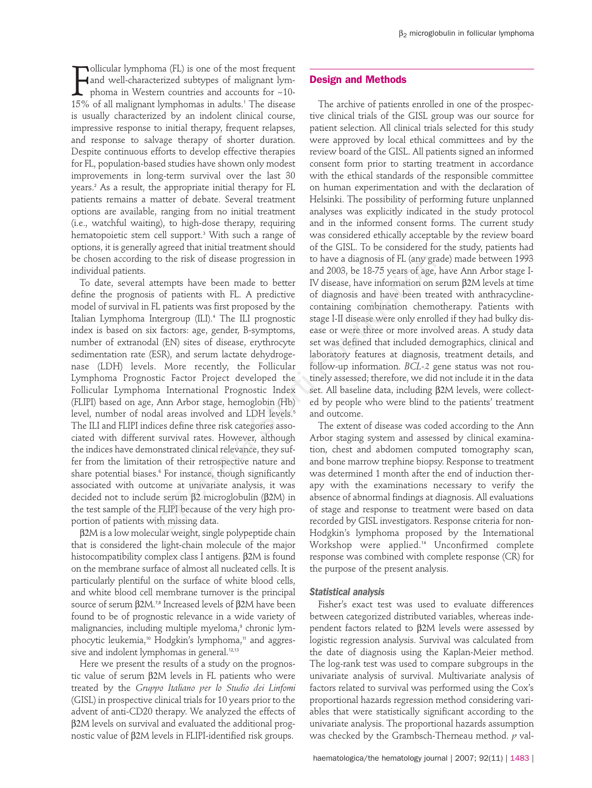**FULLMANDIGE 15 STARK CONCITED AND SET ALL MANUSTER 15% of all malignant lym-**<br>15% of all malignant lymphomas in adults.<sup>1</sup> The disease ollicular lymphoma (FL) is one of the most frequent and well-characterized subtypes of malignant lymphoma in Western countries and accounts for ~10 is usually characterized by an indolent clinical course, impressive response to initial therapy, frequent relapses, and response to salvage therapy of shorter duration. Despite continuous efforts to develop effective therapies for FL, population-based studies have shown only modest improvements in long-term survival over the last 30 years.<sup>2</sup> As a result, the appropriate initial therapy for FL patients remains a matter of debate. Several treatment options are available, ranging from no initial treatment (i.e., watchful waiting), to high-dose therapy, requiring hematopoietic stem cell support.<sup>3</sup> With such a range of options, it is generally agreed that initial treatment should be chosen according to the risk of disease progression in individual patients.

To date, several attempts have been made to better define the prognosis of patients with FL. A predictive model of survival in FL patients was first proposed by the Italian Lymphoma Intergroup (ILI).<sup>4</sup> The ILI prognostic index is based on six factors: age, gender, B-symptoms, number of extranodal (EN) sites of disease, erythrocyte sedimentation rate (ESR), and serum lactate dehydrogenase (LDH) levels. More recently, the Follicular Lymphoma Prognostic Factor Project developed the Follicular Lymphoma International Prognostic Index (FLIPI) based on age, Ann Arbor stage, hemoglobin (Hb) level, number of nodal areas involved and LDH levels.<sup>5</sup> The ILI and FLIPI indices define three risk categories associated with different survival rates. However, although the indices have demonstrated clinical relevance, they suffer from the limitation of their retrospective nature and share potential biases.<sup>6</sup> For instance, though significantly associated with outcome at univariate analysis, it was decided not to include serum β2 microglobulin (β2M) in the test sample of the FLIPI because of the very high proportion of patients with missing data. g to the risk of disease progression in<br>
to have a diagnosis of FL (any gr<br>
and 2003, be 18-75 years of age,<br>
is of patients with FL. A predictive columns on the Hisse, have information on<br>
FL patients was first proposed b

β2M is a low molecular weight, single polypeptide chain that is considered the light-chain molecule of the major histocompatibility complex class I antigens. β2M is found on the membrane surface of almost all nucleated cells. It is particularly plentiful on the surface of white blood cells, and white blood cell membrane turnover is the principal source of serum β2M.<sup>7,8</sup> Increased levels of β2M have been found to be of prognostic relevance in a wide variety of malignancies, including multiple myeloma,<sup>9</sup> chronic lymphocytic leukemia,<sup>10</sup> Hodgkin's lymphoma,<sup>11</sup> and aggressive and indolent lymphomas in general.<sup>12,13</sup>

Here we present the results of a study on the prognostic value of serum β2M levels in FL patients who were treated by the *Gruppo Italiano per lo Studio dei Linfomi* (GISL) in prospective clinical trials for 10 years prior to the advent of anti-CD20 therapy. We analyzed the effects of β2M levels on survival and evaluated the additional prognostic value of β2M levels in FLIPI-identified risk groups.

### **Design and Methods**

The archive of patients enrolled in one of the prospective clinical trials of the GISL group was our source for patient selection. All clinical trials selected for this study were approved by local ethical committees and by the review board of the GISL. All patients signed an informed consent form prior to starting treatment in accordance with the ethical standards of the responsible committee on human experimentation and with the declaration of Helsinki. The possibility of performing future unplanned analyses was explicitly indicated in the study protocol and in the informed consent forms. The current study was considered ethically acceptable by the review board of the GISL. To be considered for the study, patients had to have a diagnosis of FL (any grade) made between 1993 and 2003, be 18-75 years of age, have Ann Arbor stage I-IV disease, have information on serum β2M levels at time of diagnosis and have been treated with anthracyclinecontaining combination chemotherapy. Patients with stage I-II disease were only enrolled if they had bulky disease or were three or more involved areas. A study data set was defined that included demographics, clinical and laboratory features at diagnosis, treatment details, and follow-up information. *BCL-2* gene status was not routinely assessed; therefore, we did not include it in the data set. All baseline data, including β2M levels, were collected by people who were blind to the patients' treatment and outcome.

The extent of disease was coded according to the Ann Arbor staging system and assessed by clinical examination, chest and abdomen computed tomography scan, and bone marrow trephine biopsy. Response to treatment was determined 1 month after the end of induction therapy with the examinations necessary to verify the absence of abnormal findings at diagnosis. All evaluations of stage and response to treatment were based on data recorded by GISL investigators. Response criteria for non-Hodgkin's lymphoma proposed by the International Workshop were applied.<sup>14</sup> Unconfirmed complete response was combined with complete response (CR) for the purpose of the present analysis.

## *Statistical analysis*

Fisher's exact test was used to evaluate differences between categorized distributed variables, whereas independent factors related to β2M levels were assessed by logistic regression analysis. Survival was calculated from the date of diagnosis using the Kaplan-Meier method. The log-rank test was used to compare subgroups in the univariate analysis of survival. Multivariate analysis of factors related to survival was performed using the Cox's proportional hazards regression method considering variables that were statistically significant according to the univariate analysis. The proportional hazards assumption was checked by the Grambsch-Therneau method. *p* val-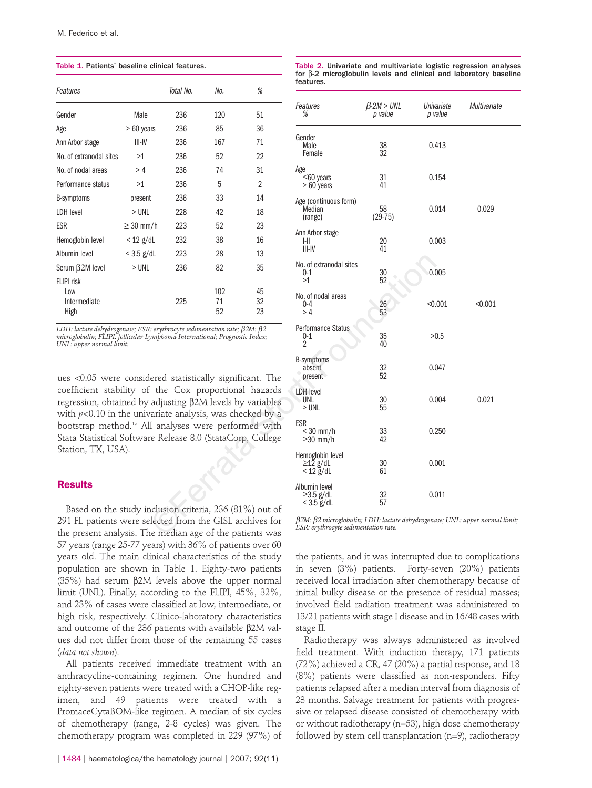Table 1. Patients' baseline clinical features.

| Features                                  |                | Total No. | No.             | $\%$           |
|-------------------------------------------|----------------|-----------|-----------------|----------------|
| Gender                                    | Male           | 236       | 120             | 51             |
| Age                                       | > 60 years     | 236       | 85              | 36             |
| Ann Arbor stage                           | III-IV         | 236       | 167             | 71             |
| No. of extranodal sites                   | >1             | 236       | 52              | 22             |
| No. of nodal areas                        | >4             | 236       | 74              | 31             |
| Performance status                        | >1             | 236       | 5               | 2              |
| B-symptoms                                | present        | 236       | 33              | 14             |
| LDH level                                 | > UNL          | 228       | 42              | 18             |
| <b>ESR</b>                                | $\geq$ 30 mm/h | 223       | 52              | 23             |
| Hemoglobin level                          | $< 12$ g/dL    | 232       | 38              | 16             |
| Albumin level                             | $<$ 3.5 g/dL   | 223       | 28              | 13             |
| Serum B <sub>2M</sub> level               | $>$ UNL        | 236       | 82              | 35             |
| FIIPI risk<br>Low<br>Intermediate<br>High |                | 225       | 102<br>71<br>52 | 45<br>32<br>23 |

*LDH: lactate dehydrogenase; ESR: erythrocyte sedimentation rate;* β2*M:* β2 *microglobulin; FLIPI: follicular Lymphoma International; Prognostic Index; UNL: upper normal limit.* 

ues <0.05 were considered statistically significant. The coefficient stability of the Cox proportional hazards regression, obtained by adjusting β2M levels by variables with *p*<0.10 in the univariate analysis, was checked by a bootstrap method.<sup>15</sup> All analyses were performed with Stata Statistical Software Release 8.0 (StataCorp, College Station, TX, USA).

## **Results**

Based on the study inclusion criteria, 236 (81%) out of 291 FL patients were selected from the GISL archives for the present analysis. The median age of the patients was 57 years (range 25-77 years) with 36% of patients over 60 years old. The main clinical characteristics of the study population are shown in Table 1. Eighty-two patients (35%) had serum β2M levels above the upper normal limit (UNL). Finally, according to the FLIPI, 45%, 32%, and 23% of cases were classified at low, intermediate, or high risk, respectively. Clinico-laboratory characteristics and outcome of the 236 patients with available β2M values did not differ from those of the remaining 55 cases (*data not shown*).

All patients received immediate treatment with an anthracycline-containing regimen. One hundred and eighty-seven patients were treated with a CHOP-like regimen, and 49 patients were treated with a PromaceCytaBOM-like regimen. A median of six cycles of chemotherapy (range, 2-8 cycles) was given. The chemotherapy program was completed in 229 (97%) of

|     | Total No.                                                                                           | No.             | %                                                                                                             |                                                                                                                     |                              |                       |              |  |
|-----|-----------------------------------------------------------------------------------------------------|-----------------|---------------------------------------------------------------------------------------------------------------|---------------------------------------------------------------------------------------------------------------------|------------------------------|-----------------------|--------------|--|
|     | 236                                                                                                 | 120             | 51                                                                                                            | Features<br>%                                                                                                       | $\beta$ -2M > UNL<br>p value | Univariate<br>p value | Multivariate |  |
| ırs | 236                                                                                                 | 85              | 36                                                                                                            |                                                                                                                     |                              |                       |              |  |
|     | 236                                                                                                 | 167             | 71                                                                                                            | Gender                                                                                                              |                              | 0.413                 |              |  |
|     | 236                                                                                                 | 52              | 22                                                                                                            | Male<br>Female                                                                                                      | $\frac{38}{32}$              |                       |              |  |
|     | 236                                                                                                 | 74              | 31                                                                                                            | Age                                                                                                                 |                              |                       |              |  |
|     | 236                                                                                                 | 5               | $\overline{2}$                                                                                                | $\leq 60$ years<br>$>60$ years                                                                                      | 31<br>41                     | 0.154                 |              |  |
|     | 236                                                                                                 | 33              | 14                                                                                                            | Age (continuous form)                                                                                               |                              |                       |              |  |
|     | 228                                                                                                 | 42              | 18                                                                                                            | Median                                                                                                              | 58<br>$(29-75)$              | 0.014                 | 0.029        |  |
| ı/h | 223                                                                                                 | 52              | 23                                                                                                            | (range)                                                                                                             |                              |                       |              |  |
| ٦L  | 232                                                                                                 | 38              | 16                                                                                                            | Ann Arbor stage<br>I-II                                                                                             | 20                           | 0.003                 |              |  |
| dL  | 223                                                                                                 | 28              | 13                                                                                                            | $III - IV$                                                                                                          | 41                           |                       |              |  |
|     | 236                                                                                                 | 82              | 35                                                                                                            | No. of extranodal sites<br>$0 - 1$<br>>1                                                                            | 30<br>52                     | 0.005                 |              |  |
|     | 225                                                                                                 | 102<br>71<br>52 | 45<br>32<br>23                                                                                                | No. of nodal areas<br>0-4<br>>4                                                                                     | $\frac{26}{53}$              | < 0.001               | < 0.001      |  |
|     | : erythrocyte sedimentation rate; $\beta$ 2M: $\beta$ 2<br>ymphoma International; Prognostic Index; |                 |                                                                                                               | <b>Performance Status</b><br>0-1<br>2                                                                               | 35<br>40                     | >0.5                  |              |  |
|     |                                                                                                     |                 | ered statistically significant. The                                                                           | <b>B-symptoms</b><br>absent<br>present                                                                              | 32<br>52                     | 0.047                 |              |  |
|     |                                                                                                     |                 | the Cox proportional hazards<br>adjusting $\beta$ 2M levels by variables<br>ariate analysis, was checked by a | LDH level<br>UNL<br>> UNL                                                                                           | 30<br>55                     | 0.004                 | 0.021        |  |
|     |                                                                                                     |                 | I analyses were performed with<br>e Release 8.0 (StataCorp, College                                           | <b>ESR</b><br>$<$ 30 mm/h<br>$\geq$ 30 mm/h                                                                         | 33<br>42                     | 0.250                 |              |  |
|     |                                                                                                     |                 |                                                                                                               | Hemoglobin level<br>$\geq$ 12 g/dL<br>$< 12$ g/dL                                                                   | 30<br>61                     | 0.001                 |              |  |
|     |                                                                                                     |                 | nclusion criteria, 236 (81%) out of                                                                           | Albumin level<br>≥3.5 g/dL<br>$<$ 3.5 g/dL                                                                          | 32<br>57                     | 0.011                 |              |  |
|     |                                                                                                     |                 | lected from the GISL archives for<br>ie median age of the patients was                                        | β2M: β2 microglobulin; LDH: lactate dehydrogenase; UNL: upper normal limit,<br>ESR: erythrocyte sedimentation rate. |                              |                       |              |  |

Table 2. Univariate and multivariate logistic regression analyses for β-2 microglobulin levels and clinical and laboratory baseline

features.

the patients, and it was interrupted due to complications in seven (3%) patients. Forty-seven (20%) patients received local irradiation after chemotherapy because of initial bulky disease or the presence of residual masses; involved field radiation treatment was administered to 13/21 patients with stage I disease and in 16/48 cases with stage II.

Radiotherapy was always administered as involved field treatment. With induction therapy, 171 patients (72%) achieved a CR, 47 (20%) a partial response, and 18 (8%) patients were classified as non-responders. Fifty patients relapsed after a median interval from diagnosis of 23 months. Salvage treatment for patients with progressive or relapsed disease consisted of chemotherapy with or without radiotherapy (n=53), high dose chemotherapy followed by stem cell transplantation (n=9), radiotherapy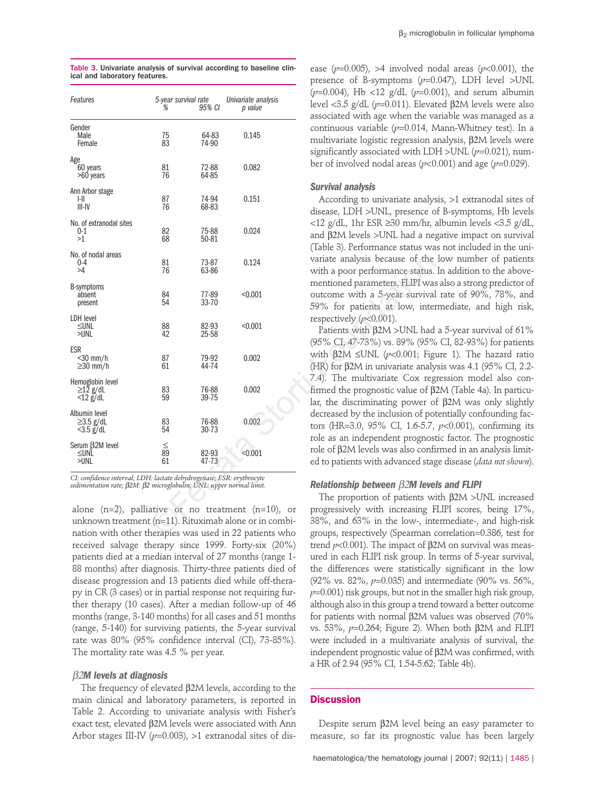| Features                                                                                                                                                                                                                                                                                                                      | 5-year survival rate<br>% | 95% CI         | Univariate analysis<br>p value | ( $p=0.004$ ), Hb <12 g/dL ( $p=0.0$<br>level <3.5 g/dL $(p=0.011)$ . Elevat<br>associated with age when the va                                                                  |
|-------------------------------------------------------------------------------------------------------------------------------------------------------------------------------------------------------------------------------------------------------------------------------------------------------------------------------|---------------------------|----------------|--------------------------------|----------------------------------------------------------------------------------------------------------------------------------------------------------------------------------|
| Gender<br>Male<br>Female                                                                                                                                                                                                                                                                                                      | 75<br>83                  | 64-83<br>74-90 | 0.145                          | continuous variable ( $p=0.014$ , N<br>multivariate logistic regression a<br>significantly associated with LD.                                                                   |
| Age<br>60 years<br>>60 years                                                                                                                                                                                                                                                                                                  | 81<br>76                  | 72-88<br>64-85 | 0.082                          | ber of involved nodal areas ( $p$ <0                                                                                                                                             |
| Ann Arbor stage<br>HI.<br>III-IV                                                                                                                                                                                                                                                                                              | 87<br>76                  | 74-94<br>68-83 | 0.151                          | <b>Survival analysis</b><br>According to univariate analys<br>disease, LDH >UNL, presence o                                                                                      |
| No. of extranodal sites<br>$0-1$<br>>1                                                                                                                                                                                                                                                                                        | 82<br>68                  | 75-88<br>50-81 | 0.024                          | <12 g/dL, 1hr ESR $\geq$ 30 mm/hr, a<br>and $\beta$ 2M levels >UNL had a neg<br>(Table 3). Performance status wa                                                                 |
| No. of nodal areas<br>$0 - 4$<br>>4                                                                                                                                                                                                                                                                                           | 81<br>76                  | 73-87<br>63-86 | 0.124                          | variate analysis because of the<br>with a poor performance status.                                                                                                               |
| <b>B-symptoms</b><br>absent<br>present                                                                                                                                                                                                                                                                                        | 84<br>54                  | 77-89<br>33-70 | < 0.001                        | mentioned parameters, FLIPI was<br>outcome with a 5-year survival<br>59% for patients at low, inter                                                                              |
| LDH level<br>≤UNL<br>>unl                                                                                                                                                                                                                                                                                                     | 88<br>42                  | 82-93<br>25-58 | < 0.001                        | respectively $(p<0.001)$ .<br>Patients with $\beta$ 2M >UNL had<br>(95% CI, 47-73%) vs. 89% (95%                                                                                 |
| <b>ESR</b><br><30 mm/h<br>$\geq$ 30 mm/h                                                                                                                                                                                                                                                                                      | 87<br>61                  | 79-92<br>44-74 | 0.002                          | with $\beta$ 2M $\leq$ UNL (p<0.001; Figu<br>(HR) for $\beta$ 2M in univariate analy                                                                                             |
| Hemoglobin level<br>$\geq$ 12 g/dL<br>$<$ 12 $g/dL$                                                                                                                                                                                                                                                                           | 83<br>59                  | 76-88<br>39-75 | 0.002                          | 7.4). The multivariate Cox reg<br>firmed the prognostic value of $\beta$<br>lar, the discriminating power of                                                                     |
| Albumin level<br>$\geq$ 3.5 g/dL<br>$<$ 3.5 g/dL                                                                                                                                                                                                                                                                              | 83<br>54                  | 76-88<br>30-73 | 0.002                          | decreased by the inclusion of pot<br>tors (HR=3.0, 95% CI, 1.6-5.7,<br>role as an independent prognost                                                                           |
| Serum B <sub>2M</sub> level<br>≤UNL<br>>UNL                                                                                                                                                                                                                                                                                   | $\lessapprox 89$<br>61    | 82-93<br>47-73 | < 0.001                        | role of $\beta$ 2M levels was also confi<br>ed to patients with advanced stag                                                                                                    |
| CI: confidence interval; LDH: lactate dehydrogenase; ESR: erythrocyte<br>sedimentation rate; β2M: β2 microglobulin; UNL: upper normal limit.<br>alone $(n=2)$ , palliative or no treatment $(n=10)$ , or<br>unknown treatment (n=11). Rituximab alone or in combi-<br>nation with other therapies was used in 22 patients who |                           |                |                                | Relationship between $\beta$ 2M lever<br>The proportion of patients wi<br>progressively with increasing F<br>38%, and 63% in the low-, into<br>groups, respectively (Spearman of |

|                               | Table 3. Univariate analysis of survival according to baseline clin- |  |  |
|-------------------------------|----------------------------------------------------------------------|--|--|
| ical and laboratory features. |                                                                      |  |  |

alone (n=2), palliative or no treatment (n=10), or unknown treatment (n=11). Rituximab alone or in combination with other therapies was used in 22 patients who received salvage therapy since 1999. Forty-six (20%) patients died at a median interval of 27 months (range 1- 88 months) after diagnosis. Thirty-three patients died of disease progression and 13 patients died while off-therapy in CR (3 cases) or in partial response not requiring further therapy (10 cases). After a median follow-up of 46 months (range, 3-140 months) for all cases and 51 months (range, 5-140) for surviving patients, the 5-year survival rate was 80% (95% confidence interval (CI), 73-85%). The mortality rate was 4.5 % per year.

## β2*M levels at diagnosis*

The frequency of elevated β2M levels, according to the main clinical and laboratory parameters, is reported in Table 2. According to univariate analysis with Fisher's exact test, elevated β2M levels were associated with Ann Arbor stages III-IV (p=0.003), >1 extranodal sites of disease ( $p=0.005$ ), >4 involved nodal areas ( $p<0.001$ ), the presence of B-symptoms (*p*=0.047), LDH level >UNL (*p*=0.004), Hb <12 g/dL (*p*=0.001), and serum albumin level <3.5 g/dL (*p*=0.011). Elevated β2M levels were also associated with age when the variable was managed as a continuous variable (*p*=0.014, Mann-Whitney test). In a multivariate logistic regression analysis, β2M levels were significantly associated with LDH >UNL  $(p=0.021)$ , number of involved nodal areas ( $p<0.001$ ) and age ( $p=0.029$ ).

#### *Survival analysis*

According to univariate analysis, >1 extranodal sites of disease, LDH >UNL, presence of B-symptoms, Hb levels <12 g/dL, 1hr ESR ≥30 mm/hr, albumin levels <3.5 g/dL, and β2M levels >UNL had a negative impact on survival (Table 3). Performance status was not included in the univariate analysis because of the low number of patients with a poor performance status. In addition to the abovementioned parameters, FLIPI was also a strong predictor of outcome with a 5-year survival rate of 90%, 78%, and 59% for patients at low, intermediate, and high risk, respectively (*p*<0.001).

Patients with β2M >UNL had a 5-year survival of 61% (95% CI, 47-73%) vs. 89% (95% CI, 82-93%) for patients with β2M ≤UNL (*p*<0.001; Figure 1). The hazard ratio (HR) for β2M in univariate analysis was 4.1 (95% CI, 2.2- 7.4). The multivariate Cox regression model also confirmed the prognostic value of β2M (Table 4a). In particular, the discriminating power of β2M was only slightly decreased by the inclusion of potentially confounding factors (HR=3.0, 95% CI, 1.6-5.7, *p*<0.001), confirming its role as an independent prognostic factor. The prognostic role of β2M levels was also confirmed in an analysis limited to patients with advanced stage disease (*data not shown*).

### *Relationship between* β2*M levels and FLIPI*

The proportion of patients with β2M >UNL increased progressively with increasing FLIPI scores, being 17%, 38%, and 63% in the low-, intermediate-, and high-risk groups, respectively (Spearman correlation=0.386, test for trend *p*<0.001). The impact of β2M on survival was measured in each FLIPI risk group. In terms of 5-year survival, the differences were statistically significant in the low (92% vs. 82%, *p*=0.035) and intermediate (90% vs. 56%,  $p=0.001$ ) risk groups, but not in the smaller high risk group, although also in this group a trend toward a better outcome for patients with normal β2M values was observed (70% vs. 53%, *p*=0.264; Figure 2). When both β2M and FLIPI were included in a multivariate analysis of survival, the independent prognostic value of β2M was confirmed, with a HR of 2.94 (95% CI, 1.54-5.62; Table 4b).

## **Discussion**

Despite serum β2M level being an easy parameter to measure, so far its prognostic value has been largely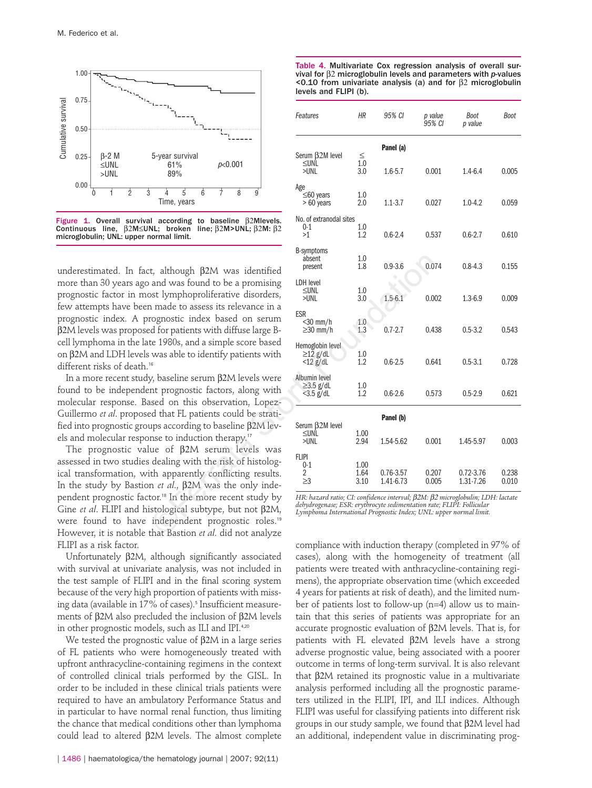

Figure 1. Overall survival according to baseline β2Mlevels.<br>Continuous line, β2M≤UNL; broken line; β2M>UNL; β2M: β2  $\beta$ 2M≤UNL; broken line;  $\beta$ 2M>UNL;  $\beta$ 2M:  $\beta$ 2 microglobulin; UNL: upper normal limit.

underestimated. In fact, although β2M was identified more than 30 years ago and was found to be a promising prognostic factor in most lymphoproliferative disorders, few attempts have been made to assess its relevance in a prognostic index. A prognostic index based on serum β2M levels was proposed for patients with diffuse large Bcell lymphoma in the late 1980s, and a simple score based on β2M and LDH levels was able to identify patients with different risks of death.<sup>16</sup>

In a more recent study, baseline serum β2M levels were found to be independent prognostic factors, along with molecular response. Based on this observation, Lopez-Guillermo *et al*. proposed that FL patients could be stratified into prognostic groups according to baseline β2M levels and molecular response to induction therapy. 17

The prognostic value of β2M serum levels was assessed in two studies dealing with the risk of histological transformation, with apparently conflicting results. In the study by Bastion *et al*., β2M was the only independent prognostic factor.<sup>18</sup> In the more recent study by Gine *et al*. FLIPI and histological subtype, but not β2M, were found to have independent prognostic roles.<sup>19</sup> However, it is notable that Bastion *et al*. did not analyze FLIPI as a risk factor.

Unfortunately β2M, although significantly associated with survival at univariate analysis, was not included in the test sample of FLIPI and in the final scoring system because of the very high proportion of patients with missing data (available in 17% of cases).<sup>5</sup> Insufficient measurements of β2M also precluded the inclusion of β2M levels in other prognostic models, such as ILI and IPI.4,20

We tested the prognostic value of  $β2M$  in a large series of FL patients who were homogeneously treated with upfront anthracycline-containing regimens in the context of controlled clinical trials performed by the GISL. In order to be included in these clinical trials patients were required to have an ambulatory Performance Status and in particular to have normal renal function, thus limiting the chance that medical conditions other than lymphoma could lead to altered β2M levels. The almost complete

| Table 4. Multivariate Cox regression analysis of overall sur-            |
|--------------------------------------------------------------------------|
| vival for $\beta$ 2 microglobulin levels and parameters with p-values    |
| $\leq$ 0.10 from univariate analysis (a) and for $\beta$ 2 microglobulin |
| levels and FLIPI (b).                                                    |

| ן די די דער האט גענען גער פון גער פאר פון גער פאר פון גער פאר פון גער פאר פון גער פאר פון גער פאר פון גער פאר<br>ק                                                              | Features                                            | ΗR                                                                                                                                                                                                                                         | 95% CI                   | p value<br>95% CI | Boot<br>p value        | Boot           |  |  |
|---------------------------------------------------------------------------------------------------------------------------------------------------------------------------------|-----------------------------------------------------|--------------------------------------------------------------------------------------------------------------------------------------------------------------------------------------------------------------------------------------------|--------------------------|-------------------|------------------------|----------------|--|--|
| 5-year survival<br>p<0.001<br>61%                                                                                                                                               | Serum B2M level<br>≤UNL<br>$>$ UNL                  | $\leq$<br>1.0<br>3.0                                                                                                                                                                                                                       | Panel (a)<br>$1.6 - 5.7$ | 0.001             | $1.4 - 6.4$            | 0.005          |  |  |
| 89%<br>5<br>Ż<br>4<br>6<br>8<br>9<br>Time, years                                                                                                                                | Age<br>$\leq 60$ years<br>$>60$ years               | 1.0<br>2.0                                                                                                                                                                                                                                 | $1.1 - 3.7$              | 0.027             | $1.0 - 4.2$            | 0.059          |  |  |
| I according to baseline $\beta$ 2Mlevels.<br>NL; broken line; $\beta$ 2M>UNL; $\beta$ 2M: $\beta$ 2<br>ormal limit.                                                             | No. of extranodal sites<br>0-1<br>>1                | 1.0<br>1.2                                                                                                                                                                                                                                 | $0.6 - 2.4$              | 0.537             | $0.6 - 2.7$            | 0.610          |  |  |
| t, although β2M was identified                                                                                                                                                  | <b>B-symptoms</b><br>absent<br>present              | 1.0<br>1.8                                                                                                                                                                                                                                 | $0.9 - 3.6$              | 0.074             | $0.8 - 4.3$            | 0.155          |  |  |
| and was found to be a promising<br>ost lymphoproliferative disorders,<br>n made to assess its relevance in a                                                                    | LDH level<br>$\leq$ unl<br>>UNL                     | 1.0<br>3.0                                                                                                                                                                                                                                 | $1.5 - 6.1$              | 0.002             | $1.3 - 6.9$            | 0.009          |  |  |
| rognostic index based on serum<br>d for patients with diffuse large B-<br>te 1980s, and a simple score based                                                                    | <b>ESR</b><br><30 mm/h<br>$\geq$ 30 mm/h            | $1.0\,$<br>1.3                                                                                                                                                                                                                             | $0.7 - 2.7$              | 0.438             | $0.5 - 3.2$            | 0.543          |  |  |
| was able to identify patients with                                                                                                                                              | Hemoglobin level<br>$\geq$ 12 g/dL<br>$<$ 12 $g/dL$ | 1.0<br>1.2                                                                                                                                                                                                                                 | $0.6 - 2.5$              | 0.641             | $0.5 - 3.1$            | 0.728          |  |  |
| y, baseline serum β2M levels were<br>nt prognostic factors, along with<br>used on this observation, Lopez-                                                                      | Albumin level<br>$\geq$ 3.5 g/dL<br>$<$ 3.5 g/dL    | 1.0<br>1.2                                                                                                                                                                                                                                 | $0.6 - 2.6$              | 0.573             | $0.5 - 2.9$            | 0.621          |  |  |
| ed that FL patients could be strati-<br>$\mu$ ps according to baseline β2M lev-                                                                                                 | Serum B <sub>2M</sub> level                         | Panel (b)                                                                                                                                                                                                                                  |                          |                   |                        |                |  |  |
| nse to induction therapy. <sup>17</sup><br>ue of β2M serum levels was                                                                                                           | ≤UNL<br>$>$ UNL                                     | 1.00<br>2.94                                                                                                                                                                                                                               | 1.54-5.62                | 0.001             | 1.45-5.97              | 0.003          |  |  |
| dealing with the risk of histolog-<br>th apparently conflicting results.<br>n <i>et al.</i> , β2M was the only inde-                                                            | <b>FLIPI</b><br>$0 - 1$<br>2<br>$\geq$ 3            | 1.00<br>1.64<br>3.10                                                                                                                                                                                                                       | 0.76-3.57<br>1.41-6.73   | 0.207<br>0.005    | 0.72-3.76<br>1.31-7.26 | 0.238<br>0.010 |  |  |
| tor. <sup>18</sup> In the more recent study by<br>stological subtype, but not $\beta$ 2M,<br>independent prognostic roles. <sup>19</sup><br>that Bastion et al. did not analyze |                                                     | HR: hazard ratio; CI: confidence interval; $\beta$ 2M: $\beta$ 2 microglobulin; LDH: lactate<br>dehydrogenase; ESR: erythrocyte sedimentation rate; FLIPI: Follicular<br>Lymphoma International Prognostic Index; UNL: upper normal limit. |                          |                   |                        |                |  |  |

compliance with induction therapy (completed in 97% of cases), along with the homogeneity of treatment (all patients were treated with anthracycline-containing regimens), the appropriate observation time (which exceeded 4 years for patients at risk of death), and the limited number of patients lost to follow-up (n=4) allow us to maintain that this series of patients was appropriate for an accurate prognostic evaluation of β2M levels. That is, for patients with FL elevated β2M levels have a strong adverse prognostic value, being associated with a poorer outcome in terms of long-term survival. It is also relevant that β2M retained its prognostic value in a multivariate analysis performed including all the prognostic parameters utilized in the FLIPI, IPI, and ILI indices. Although FLIPI was useful for classifying patients into different risk groups in our study sample, we found that β2M level had an additional, independent value in discriminating prog-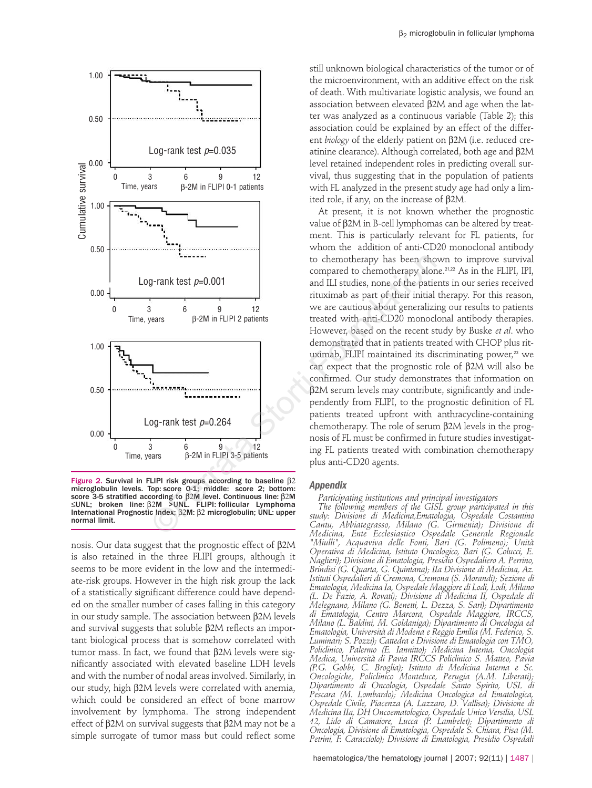

Figure 2. Survival in FLIPI risk groups according to baseline β2 microglobulin levels. Top: score 0-1; middle: score 2; bottom: score 3-5 stratified according to β2M level. Continuous line: β2M ≤UNL; broken line: β2M >UNL. FLIPI: follicular Lymphoma International Prognostic Index; β2M: β2 microglobulin; UNL: upper normal limit.

nosis. Our data suggest that the prognostic effect of β2M is also retained in the three FLIPI groups, although it seems to be more evident in the low and the intermediate-risk groups. However in the high risk group the lack of a statistically significant difference could have depended on the smaller number of cases falling in this category in our study sample. The association between β2M levels and survival suggests that soluble β2M reflects an important biological process that is somehow correlated with tumor mass. In fact, we found that β2M levels were significantly associated with elevated baseline LDH levels and with the number of nodal areas involved. Similarly, in our study, high β2M levels were correlated with anemia, which could be considered an effect of bone marrow involvement by lymphoma. The strong independent effect of  $β2M$  on survival suggests that  $β2M$  may not be a simple surrogate of tumor mass but could reflect some still unknown biological characteristics of the tumor or of the microenvironment, with an additive effect on the risk of death. With multivariate logistic analysis, we found an association between elevated β2M and age when the latter was analyzed as a continuous variable (Table 2); this association could be explained by an effect of the different *biology* of the elderly patient on β2M (i.e. reduced creatinine clearance). Although correlated, both age and β2M level retained independent roles in predicting overall survival, thus suggesting that in the population of patients with FL analyzed in the present study age had only a limited role, if any, on the increase of β2M.

At present, it is not known whether the prognostic value of β2M in B-cell lymphomas can be altered by treatment. This is particularly relevant for FL patients, for whom the addition of anti-CD20 monoclonal antibody to chemotherapy has been shown to improve survival compared to chemotherapy alone.<sup>21,22</sup> As in the FLIPI, IPI, and ILI studies, none of the patients in our series received rituximab as part of their initial therapy. For this reason, we are cautious about generalizing our results to patients treated with anti-CD20 monoclonal antibody therapies. However, based on the recent study by Buske *et al*. who demonstrated that in patients treated with CHOP plus rituximab, FLIPI maintained its discriminating power,<sup>23</sup> we can expect that the prognostic role of β2M will also be confirmed. Our study demonstrates that information on β2M serum levels may contribute, significantly and independently from FLIPI, to the prognostic definition of FL patients treated upfront with anthracycline-containing chemotherapy. The role of serum β2M levels in the prognosis of FL must be confirmed in future studies investigating FL patients treated with combination chemotherapy plus anti-CD20 agents.

#### *Appendix*

*Participating institutions and principal investigators*

*The following members of the GISL group participated in this study: Divisione di Medicina,Ematologia, Ospedale Costantino Cantu, Abbiategrasso, Milano (G. Girmenia); Divisione di Medicina, Ente Ecclesiastico Ospedale Generale Regionale "Miulli", Acquaviva delle Fonti, Bari (G. Polimeno); Unità Operativa di Medicina, Istituto Oncologico, Bari (G. Colucci, E. Naglieri); Divisione di Ematologia, Presidio Ospedaliero A. Perrino, Brindisi (G. Quarta, G. Quintana); IIa Divisione di Medicina, Az. Istituti Ospedalieri di Cremona, Cremona (S. Morandi); Sezione di Ematologia, Medicina Ia, Ospedale Maggiore di Lodi, Lodi, Milano (L. De Fazio, A. Rovati); Divisione di Medicina II, Ospedale di Melegnano, Milano (G. Benetti, L. Dezza, S. Sari); Dipartimento di Ematologia, Centro Marcora, Ospedale Maggiore, IRCCS, Milano (L. Baldini, M. Goldaniga); Dipartimento di Oncologia ed Ematologia, Università di Modena e Reggio Emilia (M. Federico, S. Luminari; S. Pozzi); Cattedra e Divisione di Ematologia con TMO, Policlinico, Palermo (E. Iannitto); Medicina Interna, Oncologia Medica, Università di Pavia IRCCS Policlinico S. Matteo, Pavia (P.G. Gobbi, C. Broglia); Istituto di Medicina Interna e Sc. Oncologiche, Policlinico Monteluce, Perugia (A.M. Liberati); Dipartimento di Oncologia, Ospedale Santo Spirito, USL di Pescara (M. Lombardo); Medicina Oncologica ed Ematologica, Ospedale Civile, Piacenza (A. Lazzaro, D. Vallisa); Divisione di Medicina IIa, DH Oncoematologico, Ospedale Unico Versilia, USL 12, Lido di Camaiore, Lucca (P. Lambelet); Dipartimento di Oncologia, Divisione di Ematologia, Ospedale S. Chiara, Pisa (M. Petrini, F. Caracciolo); Divisione di Ematologia, Presidio Ospedali*